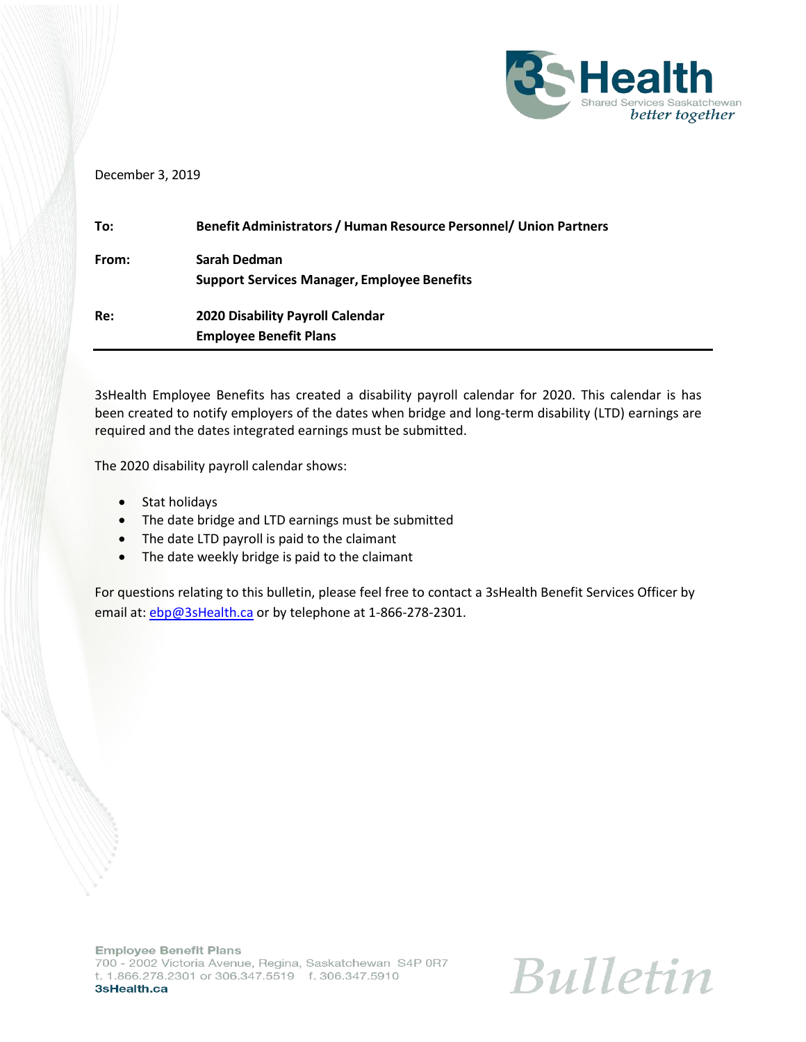

## December 3, 2019

| To:   | <b>Benefit Administrators / Human Resource Personnel/ Union Partners</b> |
|-------|--------------------------------------------------------------------------|
| From: | Sarah Dedman                                                             |
|       | <b>Support Services Manager, Employee Benefits</b>                       |
| Re:   | <b>2020 Disability Payroll Calendar</b>                                  |
|       | <b>Employee Benefit Plans</b>                                            |

3sHealth Employee Benefits has created a disability payroll calendar for 2020. This calendar is has been created to notify employers of the dates when bridge and long-term disability (LTD) earnings are required and the dates integrated earnings must be submitted.

The 2020 disability payroll calendar shows:

- Stat holidays
- The date bridge and LTD earnings must be submitted
- The date LTD payroll is paid to the claimant
- The date weekly bridge is paid to the claimant

For questions relating to this bulletin, please feel free to contact a 3sHealth Benefit Services Officer by email at: [ebp@3sHealth.ca](mailto:ebp@3sHealth.ca) or by telephone at 1-866-278-2301.